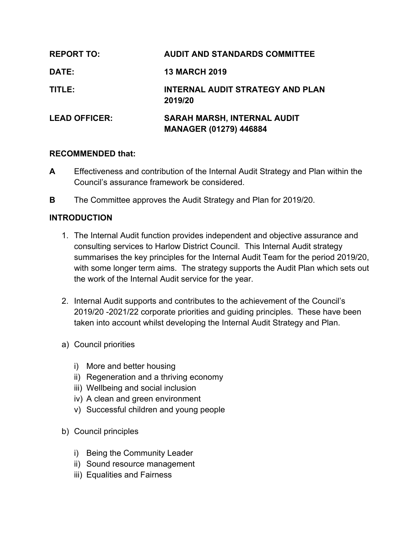| <b>REPORT TO:</b>    | <b>AUDIT AND STANDARDS COMMITTEE</b>        |
|----------------------|---------------------------------------------|
| DATE:                | <b>13 MARCH 2019</b>                        |
| TITLE:               | INTERNAL AUDIT STRATEGY AND PLAN<br>2019/20 |
| <b>LEAD OFFICER:</b> | <b>SARAH MARSH, INTERNAL AUDIT</b>          |
|                      | <b>MANAGER (01279) 446884</b>               |

#### **RECOMMENDED that:**

- **A** Effectiveness and contribution of the Internal Audit Strategy and Plan within the Council's assurance framework be considered.
- **B** The Committee approves the Audit Strategy and Plan for 2019/20.

## **INTRODUCTION**

- 1. The Internal Audit function provides independent and objective assurance and consulting services to Harlow District Council. This Internal Audit strategy summarises the key principles for the Internal Audit Team for the period 2019/20, with some longer term aims. The strategy supports the Audit Plan which sets out the work of the Internal Audit service for the year.
- 2. Internal Audit supports and contributes to the achievement of the Council's 2019/20 -2021/22 corporate priorities and guiding principles. These have been taken into account whilst developing the Internal Audit Strategy and Plan.
- a) Council priorities
	- i) More and better housing
	- ii) Regeneration and a thriving economy
	- iii) Wellbeing and social inclusion
	- iv) A clean and green environment
	- v) Successful children and young people
- b) Council principles
	- i) Being the Community Leader
	- ii) Sound resource management
	- iii) Equalities and Fairness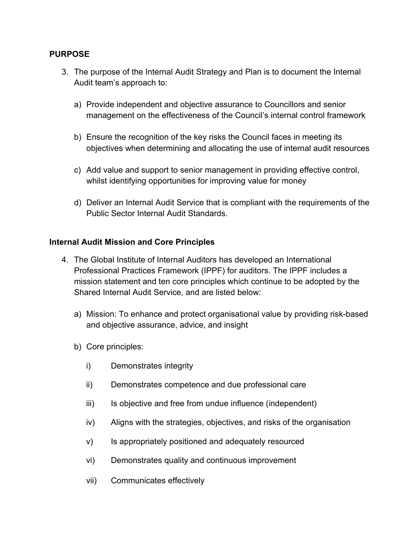### **PURPOSE**

- 3. The purpose of the Internal Audit Strategy and Plan is to document the Internal Audit team's approach to:
	- a) Provide independent and objective assurance to Councillors and senior management on the effectiveness of the Council's internal control framework
	- b) Ensure the recognition of the key risks the Council faces in meeting its objectives when determining and allocating the use of internal audit resources
	- c) Add value and support to senior management in providing effective control, whilst identifying opportunities for improving value for money
	- d) Deliver an Internal Audit Service that is compliant with the requirements of the Public Sector Internal Audit Standards.

### **Internal Audit Mission and Core Principles**

- 4. The Global Institute of Internal Auditors has developed an International Professional Practices Framework (IPPF) for auditors. The IPPF includes a mission statement and ten core principles which continue to be adopted by the Shared Internal Audit Service, and are listed below:
	- a) Mission: To enhance and protect organisational value by providing risk-based and objective assurance, advice, and insight
	- b) Core principles:
		- i) Demonstrates integrity
		- ii) Demonstrates competence and due professional care
		- iii) Is objective and free from undue influence (independent)
		- iv) Aligns with the strategies, objectives, and risks of the organisation
		- v) Is appropriately positioned and adequately resourced
		- vi) Demonstrates quality and continuous improvement
		- vii) Communicates effectively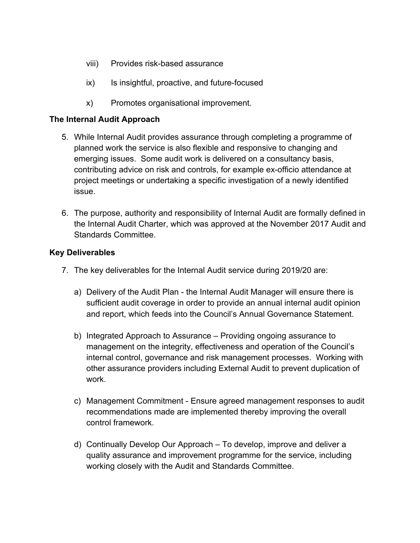- viii) Provides risk-based assurance
- ix) Is insightful, proactive, and future-focused
- x) Promotes organisational improvement.

#### **The Internal Audit Approach**

- 5. While Internal Audit provides assurance through completing a programme of planned work the service is also flexible and responsive to changing and emerging issues. Some audit work is delivered on a consultancy basis, contributing advice on risk and controls, for example ex-officio attendance at project meetings or undertaking a specific investigation of a newly identified issue.
- 6. The purpose, authority and responsibility of Internal Audit are formally defined in the Internal Audit Charter, which was approved at the November 2017 Audit and Standards Committee.

### **Key Deliverables**

- 7. The key deliverables for the Internal Audit service during 2019/20 are:
	- a) Delivery of the Audit Plan the Internal Audit Manager will ensure there is sufficient audit coverage in order to provide an annual internal audit opinion and report, which feeds into the Council's Annual Governance Statement.
	- b) Integrated Approach to Assurance Providing ongoing assurance to management on the integrity, effectiveness and operation of the Council's internal control, governance and risk management processes. Working with other assurance providers including External Audit to prevent duplication of work.
	- c) Management Commitment Ensure agreed management responses to audit recommendations made are implemented thereby improving the overall control framework.
	- d) Continually Develop Our Approach To develop, improve and deliver a quality assurance and improvement programme for the service, including working closely with the Audit and Standards Committee.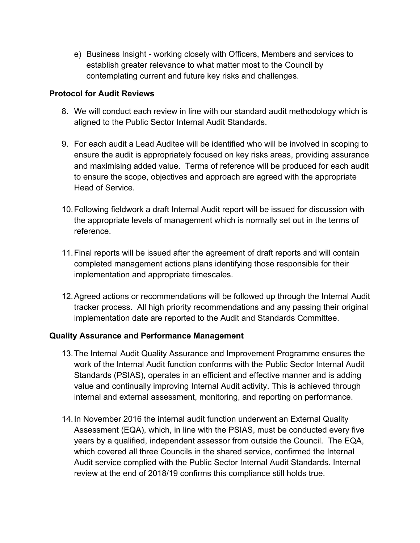e) Business Insight *-* working closely with Officers, Members and services to establish greater relevance to what matter most to the Council by contemplating current and future key risks and challenges.

## **Protocol for Audit Reviews**

- 8. We will conduct each review in line with our standard audit methodology which is aligned to the Public Sector Internal Audit Standards.
- 9. For each audit a Lead Auditee will be identified who will be involved in scoping to ensure the audit is appropriately focused on key risks areas, providing assurance and maximising added value. Terms of reference will be produced for each audit to ensure the scope, objectives and approach are agreed with the appropriate Head of Service.
- 10.Following fieldwork a draft Internal Audit report will be issued for discussion with the appropriate levels of management which is normally set out in the terms of reference.
- 11.Final reports will be issued after the agreement of draft reports and will contain completed management actions plans identifying those responsible for their implementation and appropriate timescales.
- 12.Agreed actions or recommendations will be followed up through the Internal Audit tracker process. All high priority recommendations and any passing their original implementation date are reported to the Audit and Standards Committee.

## **Quality Assurance and Performance Management**

- 13.The Internal Audit Quality Assurance and Improvement Programme ensures the work of the Internal Audit function conforms with the Public Sector Internal Audit Standards (PSIAS), operates in an efficient and effective manner and is adding value and continually improving Internal Audit activity. This is achieved through internal and external assessment, monitoring, and reporting on performance.
- 14.In November 2016 the internal audit function underwent an External Quality Assessment (EQA), which, in line with the PSIAS, must be conducted every five years by a qualified, independent assessor from outside the Council. The EQA, which covered all three Councils in the shared service, confirmed the Internal Audit service complied with the Public Sector Internal Audit Standards. Internal review at the end of 2018/19 confirms this compliance still holds true.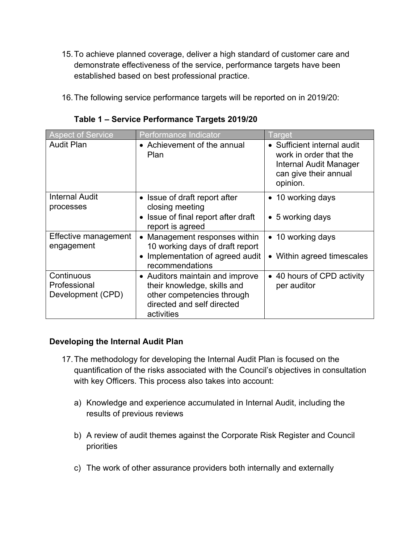- 15.To achieve planned coverage, deliver a high standard of customer care and demonstrate effectiveness of the service, performance targets have been established based on best professional practice.
- 16.The following service performance targets will be reported on in 2019/20:

| <b>Aspect of Service</b>                        | Performance Indicator                                                                                                                    | Target                                                                                                               |
|-------------------------------------------------|------------------------------------------------------------------------------------------------------------------------------------------|----------------------------------------------------------------------------------------------------------------------|
| <b>Audit Plan</b>                               | • Achievement of the annual<br><b>Plan</b>                                                                                               | • Sufficient internal audit<br>work in order that the<br>Internal Audit Manager<br>can give their annual<br>opinion. |
| <b>Internal Audit</b><br>processes              | Issue of draft report after<br>closing meeting                                                                                           | • 10 working days                                                                                                    |
|                                                 | • Issue of final report after draft<br>report is agreed                                                                                  | $\bullet$ 5 working days                                                                                             |
| Effective management<br>engagement              | Management responses within<br>10 working days of draft report                                                                           | • 10 working days                                                                                                    |
|                                                 | • Implementation of agreed audit<br>recommendations                                                                                      | • Within agreed timescales                                                                                           |
| Continuous<br>Professional<br>Development (CPD) | • Auditors maintain and improve<br>their knowledge, skills and<br>other competencies through<br>directed and self directed<br>activities | • 40 hours of CPD activity<br>per auditor                                                                            |

**Table 1 – Service Performance Targets 2019/20**

## **Developing the Internal Audit Plan**

- 17.The methodology for developing the Internal Audit Plan is focused on the quantification of the risks associated with the Council's objectives in consultation with key Officers. This process also takes into account:
	- a) Knowledge and experience accumulated in Internal Audit, including the results of previous reviews
	- b) A review of audit themes against the Corporate Risk Register and Council priorities
	- c) The work of other assurance providers both internally and externally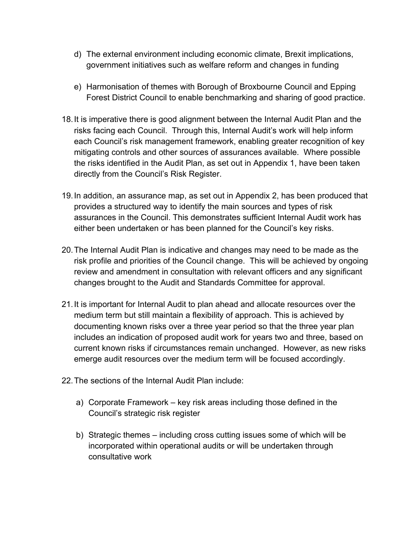- d) The external environment including economic climate, Brexit implications, government initiatives such as welfare reform and changes in funding
- e) Harmonisation of themes with Borough of Broxbourne Council and Epping Forest District Council to enable benchmarking and sharing of good practice.
- 18.It is imperative there is good alignment between the Internal Audit Plan and the risks facing each Council. Through this, Internal Audit's work will help inform each Council's risk management framework, enabling greater recognition of key mitigating controls and other sources of assurances available. Where possible the risks identified in the Audit Plan, as set out in Appendix 1, have been taken directly from the Council's Risk Register.
- 19.In addition, an assurance map, as set out in Appendix 2, has been produced that provides a structured way to identify the main sources and types of risk assurances in the Council. This demonstrates sufficient Internal Audit work has either been undertaken or has been planned for the Council's key risks.
- 20.The Internal Audit Plan is indicative and changes may need to be made as the risk profile and priorities of the Council change. This will be achieved by ongoing review and amendment in consultation with relevant officers and any significant changes brought to the Audit and Standards Committee for approval.
- 21.It is important for Internal Audit to plan ahead and allocate resources over the medium term but still maintain a flexibility of approach. This is achieved by documenting known risks over a three year period so that the three year plan includes an indication of proposed audit work for years two and three, based on current known risks if circumstances remain unchanged. However, as new risks emerge audit resources over the medium term will be focused accordingly.
- 22.The sections of the Internal Audit Plan include:
	- a) Corporate Framework key risk areas including those defined in the Council's strategic risk register
	- b) Strategic themes including cross cutting issues some of which will be incorporated within operational audits or will be undertaken through consultative work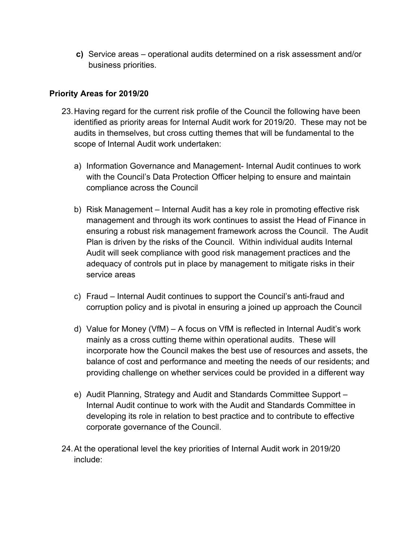**c)** Service areas – operational audits determined on a risk assessment and/or business priorities.

## **Priority Areas for 2019/20**

- 23.Having regard for the current risk profile of the Council the following have been identified as priority areas for Internal Audit work for 2019/20. These may not be audits in themselves, but cross cutting themes that will be fundamental to the scope of Internal Audit work undertaken:
	- a) Information Governance and Management- Internal Audit continues to work with the Council's Data Protection Officer helping to ensure and maintain compliance across the Council
	- b) Risk Management Internal Audit has a key role in promoting effective risk management and through its work continues to assist the Head of Finance in ensuring a robust risk management framework across the Council. The Audit Plan is driven by the risks of the Council. Within individual audits Internal Audit will seek compliance with good risk management practices and the adequacy of controls put in place by management to mitigate risks in their service areas
	- c) Fraud Internal Audit continues to support the Council's anti-fraud and corruption policy and is pivotal in ensuring a joined up approach the Council
	- d) Value for Money (VfM) A focus on VfM is reflected in Internal Audit's work mainly as a cross cutting theme within operational audits. These will incorporate how the Council makes the best use of resources and assets, the balance of cost and performance and meeting the needs of our residents; and providing challenge on whether services could be provided in a different way
	- e) Audit Planning, Strategy and Audit and Standards Committee Support Internal Audit continue to work with the Audit and Standards Committee in developing its role in relation to best practice and to contribute to effective corporate governance of the Council.
- 24.At the operational level the key priorities of Internal Audit work in 2019/20 include: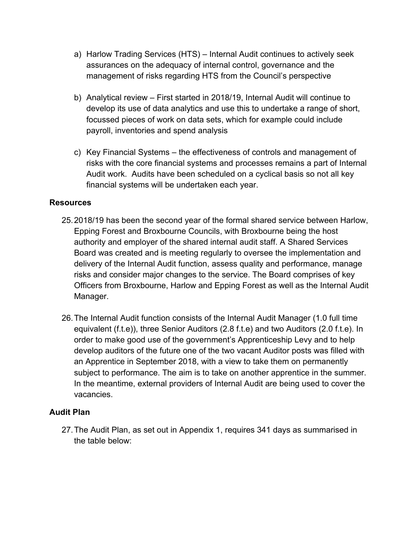- a) Harlow Trading Services (HTS) Internal Audit continues to actively seek assurances on the adequacy of internal control, governance and the management of risks regarding HTS from the Council's perspective
- b) Analytical review First started in 2018/19, Internal Audit will continue to develop its use of data analytics and use this to undertake a range of short, focussed pieces of work on data sets, which for example could include payroll, inventories and spend analysis
- c) Key Financial Systems the effectiveness of controls and management of risks with the core financial systems and processes remains a part of Internal Audit work. Audits have been scheduled on a cyclical basis so not all key financial systems will be undertaken each year.

## **Resources**

- 25.2018/19 has been the second year of the formal shared service between Harlow, Epping Forest and Broxbourne Councils, with Broxbourne being the host authority and employer of the shared internal audit staff. A Shared Services Board was created and is meeting regularly to oversee the implementation and delivery of the Internal Audit function, assess quality and performance, manage risks and consider major changes to the service. The Board comprises of key Officers from Broxbourne, Harlow and Epping Forest as well as the Internal Audit Manager.
- 26.The Internal Audit function consists of the Internal Audit Manager (1.0 full time equivalent (f.t.e)), three Senior Auditors (2.8 f.t.e) and two Auditors (2.0 f.t.e). In order to make good use of the government's Apprenticeship Levy and to help develop auditors of the future one of the two vacant Auditor posts was filled with an Apprentice in September 2018, with a view to take them on permanently subject to performance. The aim is to take on another apprentice in the summer. In the meantime, external providers of Internal Audit are being used to cover the vacancies.

## **Audit Plan**

27.The Audit Plan, as set out in Appendix 1, requires 341 days as summarised in the table below: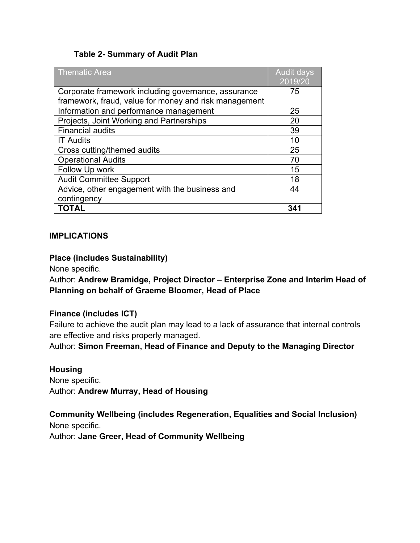### **Table 2- Summary of Audit Plan**

| <b>Thematic Area</b>                                  | <b>Audit days</b><br>2019/20 |
|-------------------------------------------------------|------------------------------|
|                                                       | 75                           |
| Corporate framework including governance, assurance   |                              |
| framework, fraud, value for money and risk management |                              |
| Information and performance management                | 25                           |
| Projects, Joint Working and Partnerships              | 20                           |
| <b>Financial audits</b>                               | 39                           |
| <b>IT Audits</b>                                      | 10                           |
| Cross cutting/themed audits                           | 25                           |
| <b>Operational Audits</b>                             | 70                           |
| Follow Up work                                        | 15                           |
| <b>Audit Committee Support</b>                        | 18                           |
| Advice, other engagement with the business and        | 44                           |
| contingency                                           |                              |
| <b>TOTAL</b>                                          | 341                          |

### **IMPLICATIONS**

### **Place (includes Sustainability)**

None specific.

Author: **Andrew Bramidge, Project Director – Enterprise Zone and Interim Head of Planning on behalf of Graeme Bloomer, Head of Place**

## **Finance (includes ICT)**

Failure to achieve the audit plan may lead to a lack of assurance that internal controls are effective and risks properly managed.

Author: **Simon Freeman, Head of Finance and Deputy to the Managing Director**

#### **Housing**

None specific. Author: **Andrew Murray, Head of Housing**

**Community Wellbeing (includes Regeneration, Equalities and Social Inclusion)** None specific.

Author: **Jane Greer, Head of Community Wellbeing**